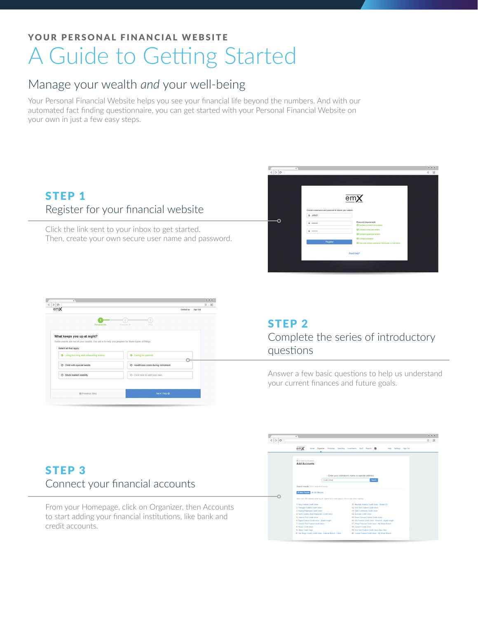# YOUR PERSONAL FINANCIAL WEBSITE A Guide to Getting Started

## Manage your wealth *and* your well-being

Your Personal Financial Website helps you see your financial life beyond the numbers. And with our automated fact finding questionnaire, you can get started with your Personal Financial Website on your own in just a few easy steps.





### STEP 2 Complete the series of introductory questions

Answer a few basic questions to help us understand your current finances and future goals.

### STEP 3 Connect your financial accounts

From your Homepage, click on Organizer, then Accounts to start adding your financial institutions, like bank and credit accounts.